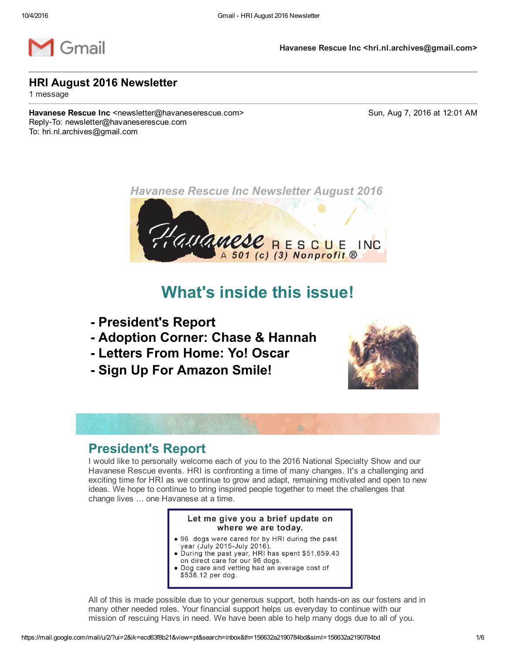

Havanese Rescue Inc <hri.nl.archives@gmail.com>

### HRI August 2016 Newsletter

1 message

Havanese Rescue Inc <newsletter@havaneserescue.com> Sun, Aug 7, 2016 at 12:01 AM Reply-To: newsletter@havaneserescue.com To: hri.nl.archives@gmail.com



# What's inside this issue!

- President's Report
- Adoption Corner: Chase & Hannah
- Letters From Home: Yo! Oscar
- Sign Up For Amazon Smile!



## President's Report

I would like to personally welcome each of you to the 2016 National Specialty Show and our Havanese Rescue events. HRI is confronting a time of many changes. It's a challenging and exciting time for HRI as we continue to grow and adapt, remaining motivated and open to new ideas. We hope to continue to bring inspired people together to meet the challenges that change lives ... one Havanese at a time.

#### Let me give you a brief update on where we are today.

- 96 dogs were cared for by HRI during the past<br>year (July 2015-July 2016).<br>• During the past year, HRI has spent \$51,659.43
- on direct care for our 96 dogs. • Dog care and vetting had an average cost of
- \$538.12 per dog.

All of this is made possible due to your generous support, both hands-on as our fosters and in many other needed roles. Your financial support helps us everyday to continue with our mission of rescuing Havs in need. We have been able to help many dogs due to all of you.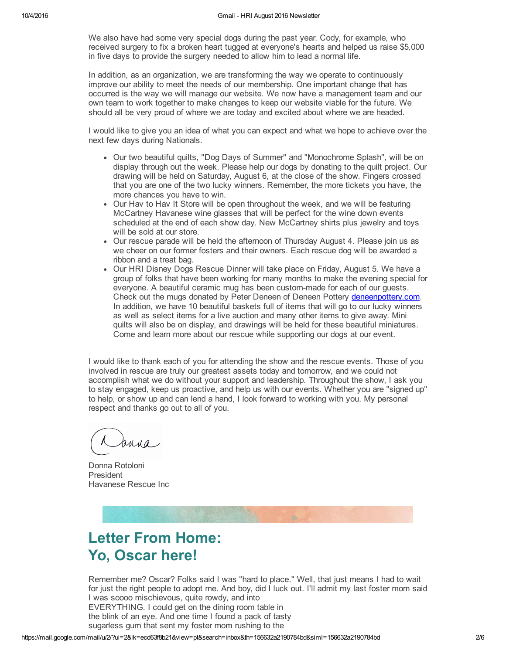We also have had some very special dogs during the past year. Cody, for example, who received surgery to fix a broken heart tugged at everyone's hearts and helped us raise \$5,000 in five days to provide the surgery needed to allow him to lead a normal life.

In addition, as an organization, we are transforming the way we operate to continuously improve our ability to meet the needs of our membership. One important change that has occurred is the way we will manage our website. We now have a management team and our own team to work together to make changes to keep our website viable for the future. We should all be very proud of where we are today and excited about where we are headed.

I would like to give you an idea of what you can expect and what we hope to achieve over the next few days during Nationals.

- Our two beautiful quilts, "Dog Days of Summer" and "Monochrome Splash", will be on display through out the week. Please help our dogs by donating to the quilt project. Our drawing will be held on Saturday, August 6, at the close of the show. Fingers crossed that you are one of the two lucky winners. Remember, the more tickets you have, the more chances you have to win.
- Our Hav to Hav It Store will be open throughout the week, and we will be featuring McCartney Havanese wine glasses that will be perfect for the wine down events scheduled at the end of each show day. New McCartney shirts plus jewelry and toys will be sold at our store.
- Our rescue parade will be held the afternoon of Thursday August 4. Please join us as we cheer on our former fosters and their owners. Each rescue dog will be awarded a ribbon and a treat bag.
- Our HRI Disney Dogs Rescue Dinner will take place on Friday, August 5. We have a group of folks that have been working for many months to make the evening special for everyone. A beautiful ceramic mug has been custom-made for each of our quests. Check out the mugs donated by Peter Deneen of Deneen Pottery [deneenpottery.com](http://r20.rs6.net/tn.jsp?f=001dMgUFyIERJjqL8tzLAHxJy8mD0aHooUpb07qMloqDV-rvVUK5bHoOW_RaLtPkNt7L5PNgk3xkQxY3TnF5fnmyEgEbXFHwfwOQ45j0a4bzNQQ29E2oWovP1r4MEbD36D-og5It9jvUDYepFxobtpoLcqZqUa2rm-2Wto5a76mkSw=&c=1DpdUpekKwUFGmO5aab1R6gYpOrFoZF12WI80D1asV8R2hT1r278UQ==&ch=jYyLFm7M1rb4QwWFZY_JLDVoI7nmy05tC6V8p6ShjFxBtP0ystXvfw==). In addition, we have 10 beautiful baskets full of items that will go to our lucky winners as well as select items for a live auction and many other items to give away. Mini quilts will also be on display, and drawings will be held for these beautiful miniatures. Come and learn more about our rescue while supporting our dogs at our event.

I would like to thank each of you for attending the show and the rescue events. Those of you involved in rescue are truly our greatest assets today and tomorrow, and we could not accomplish what we do without your support and leadership. Throughout the show, I ask you to stay engaged, keep us proactive, and help us with our events. Whether you are "signed up" to help, or show up and can lend a hand, I look forward to working with you. My personal respect and thanks go out to all of you.

Bulua

Donna Rotoloni President Havanese Rescue Inc



# Letter From Home: Yo, Oscar here!

Remember me? Oscar? Folks said I was "hard to place." Well, that just means I had to wait for just the right people to adopt me. And boy, did I luck out. I'll admit my last foster mom said I was soooo mischievous, quite rowdy, and into EVERYTHING. I could get on the dining room table in the blink of an eye. And one time I found a pack of tasty sugarless gum that sent my foster mom rushing to the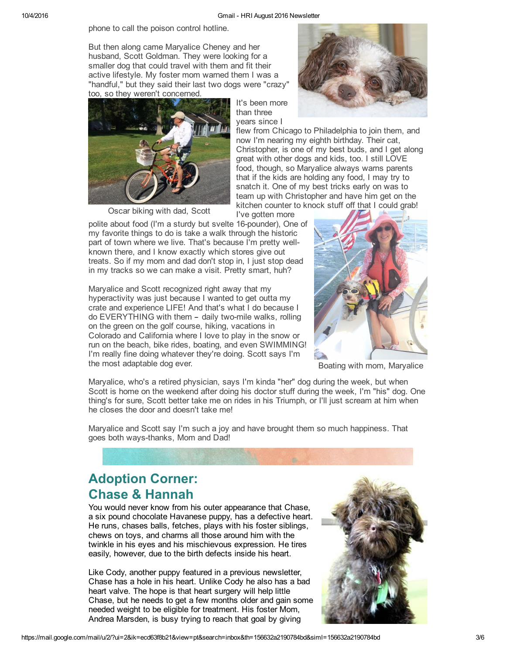#### 10/4/2016 Gmail HRI August 2016 Newsletter

phone to call the poison control hotline.

But then along came Maryalice Cheney and her husband, Scott Goldman. They were looking for a smaller dog that could travel with them and fit their active lifestyle. My foster mom warned them I was a "handful," but they said their last two dogs were "crazy" too, so they weren't concerned.



than three years since I

It's been more



flew from Chicago to Philadelphia to join them, and now I'm nearing my eighth birthday. Their cat, Christopher, is one of my best buds, and I get along great with other dogs and kids, too. I still LOVE food, though, so Maryalice always warns parents that if the kids are holding any food, I may try to snatch it. One of my best tricks early on was to team up with Christopher and have him get on the kitchen counter to knock stuff off that I could grab!

I've gotten more

polite about food (I'm a sturdy but svelte 16-pounder), One of my favorite things to do is take a walk through the historic part of town where we live. That's because I'm pretty wellknown there, and I know exactly which stores give out treats. So if my mom and dad don't stop in, I just stop dead in my tracks so we can make a visit. Pretty smart, huh?

Maryalice and Scott recognized right away that my hyperactivity was just because I wanted to get outta my crate and experience LIFE! And that's what I do because I do EVERYTHING with them - daily two-mile walks, rolling on the green on the golf course, hiking, vacations in Colorado and California where I love to play in the snow or run on the beach, bike rides, boating, and even SWIMMING! I'm really fine doing whatever they're doing. Scott says I'm the most adaptable dog ever.



Boating with mom, Maryalice

Maryalice, who's a retired physician, says I'm kinda "her" dog during the week, but when Scott is home on the weekend after doing his doctor stuff during the week, I'm "his" dog. One thing's for sure, Scott better take me on rides in his Triumph, or I'll just scream at him when he closes the door and doesn't take me!

Maryalice and Scott say I'm such a joy and have brought them so much happiness. That goes both ways-thanks, Mom and Dad!

# Adoption Corner: Chase & Hannah

You would never know from his outer appearance that Chase, a six pound chocolate Havanese puppy, has a defective heart. He runs, chases balls, fetches, plays with his foster siblings, chews on toys, and charms all those around him with the twinkle in his eyes and his mischievous expression. He tires easily, however, due to the birth defects inside his heart.

Like Cody, another puppy featured in a previous newsletter, Chase has a hole in his heart. Unlike Cody he also has a bad heart valve. The hope is that heart surgery will help little Chase, but he needs to get a few months older and gain some needed weight to be eligible for treatment. His foster Mom, Andrea Marsden, is busy trying to reach that goal by giving

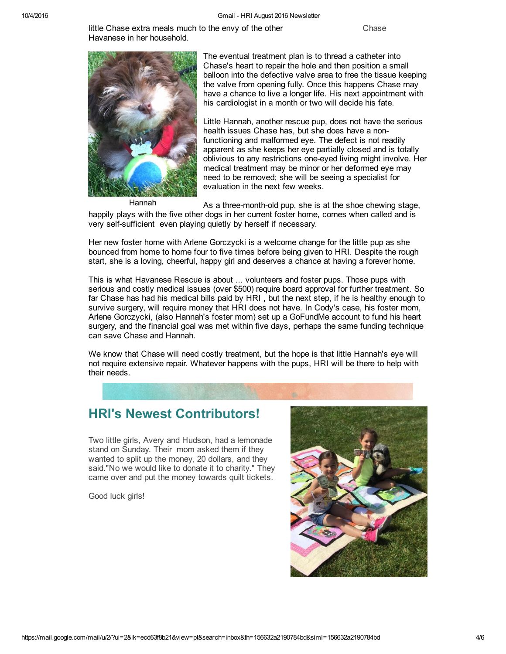little Chase extra meals much to the envy of the other Theorem Chase Havanese in her household.



The eventual treatment plan is to thread a catheter into Chase's heart to repair the hole and then position a small balloon into the defective valve area to free the tissue keeping the valve from opening fully. Once this happens Chase may have a chance to live a longer life. His next appointment with his cardiologist in a month or two will decide his fate.

Little Hannah, another rescue pup, does not have the serious health issues Chase has, but she does have a nonfunctioning and malformed eye. The defect is not readily apparent as she keeps her eye partially closed and is totally oblivious to any restrictions one-eyed living might involve. Her medical treatment may be minor or her deformed eye may need to be removed; she will be seeing a specialist for evaluation in the next few weeks.

Hannah

As a three-month-old pup, she is at the shoe chewing stage, happily plays with the five other dogs in her current foster home, comes when called and is very self-sufficient even playing quietly by herself if necessary.

Her new foster home with Arlene Gorczycki is a welcome change for the little pup as she bounced from home to home four to five times before being given to HRI. Despite the rough start, she is a loving, cheerful, happy girl and deserves a chance at having a forever home.

This is what Havanese Rescue is about ... volunteers and foster pups. Those pups with serious and costly medical issues (over \$500) require board approval for further treatment. So far Chase has had his medical bills paid by HRI , but the next step, if he is healthy enough to survive surgery, will require money that HRI does not have. In Cody's case, his foster mom, Arlene Gorczycki, (also Hannah's foster mom) set up a GoFundMe account to fund his heart surgery, and the financial goal was met within five days, perhaps the same funding technique can save Chase and Hannah.

We know that Chase will need costly treatment, but the hope is that little Hannah's eye will not require extensive repair. Whatever happens with the pups, HRI will be there to help with their needs.

## HRI's Newest Contributors!

Two little girls, Avery and Hudson, had a lemonade stand on Sunday. Their mom asked them if they wanted to split up the money, 20 dollars, and they said."No we would like to donate it to charity." They came over and put the money towards quilt tickets.

Good luck girls!

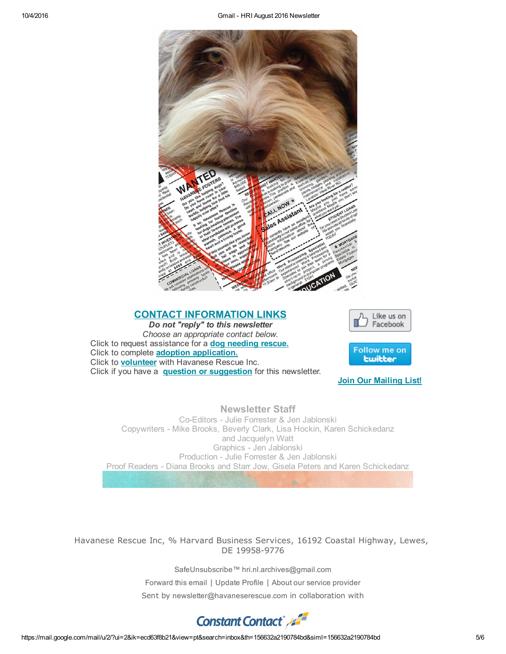

### CONTACT INFORMATION LINKS

*Do not "reply" to this newsletter Choose an appropriate contact below.* Click to request assistance for a dog [needing](http://r20.rs6.net/tn.jsp?f=001dMgUFyIERJjqL8tzLAHxJy8mD0aHooUpb07qMloqDV-rvVUK5bHoOb7hS4XyKvblpNqL9DGzNpcmkh7havrKKyn1-meWQroM2iDLQgYqTnAuKbexjLWhLK0BrKMX4zWcEjgnqKfPdABcPzLkIcC4sJFXLV9UoEAXqiGwNef5NBP3czuVMDrjzZojVo1zDP69lWIYDjioMoLAeYZ05ky2KA==&c=1DpdUpekKwUFGmO5aab1R6gYpOrFoZF12WI80D1asV8R2hT1r278UQ==&ch=jYyLFm7M1rb4QwWFZY_JLDVoI7nmy05tC6V8p6ShjFxBtP0ystXvfw==) rescue. Click to complete adoption [application.](http://r20.rs6.net/tn.jsp?f=001dMgUFyIERJjqL8tzLAHxJy8mD0aHooUpb07qMloqDV-rvVUK5bHoOS0dbhVf897FjgbkoG2XdcRKJbp01YeGz-kgCc3ffCuerqTKN8qSM7sUSVTqDquXXvrleFqkxeeLsoYoCOr2GuS5rmvipYqIE6pSp9GNRPt7BKvpDpZYzyyrfTob6_ySyfJMbZE9UdduRqjpgu-QKmNYpjUcHawchze1MGsyyIRu&c=1DpdUpekKwUFGmO5aab1R6gYpOrFoZF12WI80D1asV8R2hT1r278UQ==&ch=jYyLFm7M1rb4QwWFZY_JLDVoI7nmy05tC6V8p6ShjFxBtP0ystXvfw==) Click to **[volunteer](http://r20.rs6.net/tn.jsp?f=001dMgUFyIERJjqL8tzLAHxJy8mD0aHooUpb07qMloqDV-rvVUK5bHoOXSe25HkP3PtJpNqXvBFNQIrE_lr1GCnLBHoLWI7I2iWaYNYhRgOw3uu3GS8rb_w9AYpaC5bTIS0TSH7_WGZTdefb8clP-RLu5URTg0j1HJMx54jBd6Ajtb8rfjZ21KkRrgUhWXkRd7XWeo3FtExRDzPkzTTi30EvDYDewBO63dbe3qCtdMb2bs=&c=1DpdUpekKwUFGmO5aab1R6gYpOrFoZF12WI80D1asV8R2hT1r278UQ==&ch=jYyLFm7M1rb4QwWFZY_JLDVoI7nmy05tC6V8p6ShjFxBtP0ystXvfw==)** with Havanese Rescue Inc. Click if you have a **question or [suggestion](http://r20.rs6.net/tn.jsp?f=001dMgUFyIERJjqL8tzLAHxJy8mD0aHooUpb07qMloqDV-rvVUK5bHoOaVTHwGAS7E2_ydYAwChYCWgPGeJindsLzhlXiXSxy6OXMEjczDyqba0GOgQkSs-XtAra1179ryUsYG2fZQaj3bwIW8zEJXLByG7UJZ_RGa0h6XWTLPJt4V9pAf9enT4FIp5nWJg2Unaa_7NShVvPti9Vzz0P0p0EpN69zDWYDxxYbtEPbZ8qUWILorSPPNKhUvgkQLKHfxxzTBPAkNoMxEgk2O9tkAbs887uYe_YDwjZr6YzFev-wH_sSN4ckZNstzZBd5Tzt7-Cn17bIhikslDqVg6W2pB1A==&c=1DpdUpekKwUFGmO5aab1R6gYpOrFoZF12WI80D1asV8R2hT1r278UQ==&ch=jYyLFm7M1rb4QwWFZY_JLDVoI7nmy05tC6V8p6ShjFxBtP0ystXvfw==)** for this newsletter.





**Join Our [Mailing](http://visitor.r20.constantcontact.com/manage/optin/ea?v=001Utocbh1JAdVAIItx1G2EWQ%3D%3D) List!** 

Newsletter Staff Co-Editors - Julie Forrester & Jen Jablonski Copywriters Mike Brooks, Beverly Clark, Lisa Hockin, Karen Schickedanz and Jacquelyn Watt Graphics - Jen Jablonski Production - Julie Forrester & Jen Jablonski Proof Readers - Diana Brooks and Starr Jow, Gisela Peters and Karen Schickedanz

Havanese Rescue Inc, % Harvard Business Services, 16192 Coastal Highway, Lewes, DE 19958-9776

SafeUnsubscribe™ [hri.nl.archives@gmail.com](https://visitor.constantcontact.com/do?p=un&m=001PfuWu29YtROjeXhpo-G_eQ%3D%3D&ch=63b92130-1f3d-11e3-9d48-d4ae528ed502&ca=890fcb22-fc60-4d8a-a3f8-58f77c7d9ab4)

[Forward](http://ui.constantcontact.com/sa/fwtf.jsp?llr=crkrqxcab&m=1102448208418&ea=hri.nl.archives%40gmail.com&a=1125352085870) this email | [Update](https://visitor.constantcontact.com/do?p=oo&m=001PfuWu29YtROjeXhpo-G_eQ%3D%3D&ch=63b92130-1f3d-11e3-9d48-d4ae528ed502&ca=890fcb22-fc60-4d8a-a3f8-58f77c7d9ab4) Profile | About our service [provider](http://www.constantcontact.com/legal/service-provider?cc=about-service-provider)

Sent by [newsletter@havaneserescue.com](mailto:newsletter@havaneserescue.com) in collaboration with